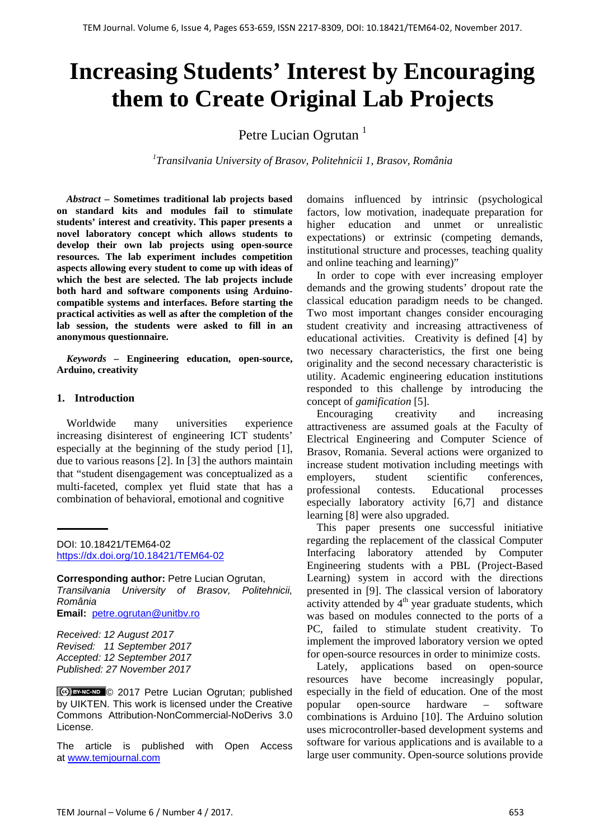# **Increasing Students' Interest by Encouraging them to Create Original Lab Projects**

Petre Lucian Ogrutan<sup>1</sup>

*1 Transilvania University of Brasov, Politehnicii 1, Brasov, România*

*Abstract –* **Sometimes traditional lab projects based on standard kits and modules fail to stimulate students' interest and creativity. This paper presents a novel laboratory concept which allows students to develop their own lab projects using open-source resources. The lab experiment includes competition aspects allowing every student to come up with ideas of which the best are selected. The lab projects include both hard and software components using Arduinocompatible systems and interfaces. Before starting the practical activities as well as after the completion of the lab session, the students were asked to fill in an anonymous questionnaire.** 

*Keywords –* **Engineering education, open-source, Arduino, creativity**

#### **1. Introduction**

Worldwide many universities experience increasing disinterest of engineering ICT students' especially at the beginning of the study period [1], due to various reasons [2]. In [3] the authors maintain that "student disengagement was conceptualized as a multi-faceted, complex yet fluid state that has a combination of behavioral, emotional and cognitive

DOI: 10.18421/TEM64-02 <https://dx.doi.org/10.18421/TEM64-02>

**Corresponding author:** Petre Lucian Ogrutan, *Transilvania University of Brasov, Politehnicii, România* **Email:** petre.ogrutan@unitbv.ro

*Received: 12 August 2017 Revised: 11 September 2017 Accepted: 12 September 2017 Published: 27 November 2017*

**CG EY-NG-ND © 2017 Petre Lucian Ogrutan; published** by UIKTEN. This work is licensed under the Creative Commons Attribution-NonCommercial-NoDerivs 3.0 License.

The article is published with Open Access at [www.temjournal.com](http://www.temjournal.com/)

domains influenced by intrinsic (psychological factors, low motivation, inadequate preparation for higher education and unmet or unrealistic expectations) or extrinsic (competing demands, institutional structure and processes, teaching quality and online teaching and learning)"

In order to cope with ever increasing employer demands and the growing students' dropout rate the classical education paradigm needs to be changed. Two most important changes consider encouraging student creativity and increasing attractiveness of educational activities. Creativity is defined [4] by two necessary characteristics, the first one being originality and the second necessary characteristic is utility. Academic engineering education institutions responded to this challenge by introducing the concept of *gamification* [5].

Encouraging creativity and increasing attractiveness are assumed goals at the Faculty of Electrical Engineering and Computer Science of Brasov, Romania. Several actions were organized to increase student motivation including meetings with employers, student scientific conferences, professional contests. Educational processes especially laboratory activity [6,7] and distance learning [8] were also upgraded.

This paper presents one successful initiative regarding the replacement of the classical Computer Interfacing laboratory attended by Computer Engineering students with a PBL (Project-Based Learning) system in accord with the directions presented in [9]. The classical version of laboratory activity attended by  $4<sup>th</sup>$  year graduate students, which was based on modules connected to the ports of a PC, failed to stimulate student creativity. To implement the improved laboratory version we opted for open-source resources in order to minimize costs.

Lately, applications based on open-source resources have become increasingly popular, especially in the field of education. One of the most popular open-source hardware – software combinations is Arduino [10]. The Arduino solution uses microcontroller-based development systems and software for various applications and is available to a large user community. Open-source solutions provide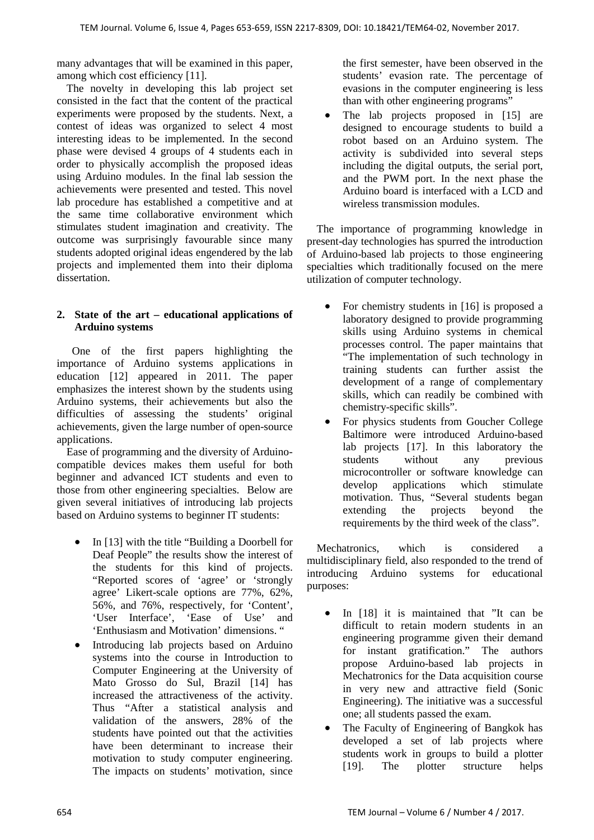many advantages that will be examined in this paper, among which cost efficiency [11].

The novelty in developing this lab project set consisted in the fact that the content of the practical experiments were proposed by the students. Next, a contest of ideas was organized to select 4 most interesting ideas to be implemented. In the second phase were devised 4 groups of 4 students each in order to physically accomplish the proposed ideas using Arduino modules. In the final lab session the achievements were presented and tested. This novel lab procedure has established a competitive and at the same time collaborative environment which stimulates student imagination and creativity. The outcome was surprisingly favourable since many students adopted original ideas engendered by the lab projects and implemented them into their diploma dissertation.

# **2. State of the art – educational applications of Arduino systems**

 One of the first papers highlighting the importance of Arduino systems applications in education [12] appeared in 2011. The paper emphasizes the interest shown by the students using Arduino systems, their achievements but also the difficulties of assessing the students' original achievements, given the large number of open-source applications.

Ease of programming and the diversity of Arduinocompatible devices makes them useful for both beginner and advanced ICT students and even to those from other engineering specialties. Below are given several initiatives of introducing lab projects based on Arduino systems to beginner IT students:

- In [13] with the title "Building a Doorbell for Deaf People" the results show the interest of the students for this kind of projects. "Reported scores of 'agree' or 'strongly agree' Likert-scale options are 77%, 62%, 56%, and 76%, respectively, for 'Content', 'User Interface', 'Ease of Use' and 'Enthusiasm and Motivation' dimensions. "
- Introducing lab projects based on Arduino systems into the course in Introduction to Computer Engineering at the University of Mato Grosso do Sul, Brazil [14] has increased the attractiveness of the activity. Thus "After a statistical analysis and validation of the answers, 28% of the students have pointed out that the activities have been determinant to increase their motivation to study computer engineering. The impacts on students' motivation, since

the first semester, have been observed in the students' evasion rate. The percentage of evasions in the computer engineering is less than with other engineering programs"

The lab projects proposed in [15] are designed to encourage students to build a robot based on an Arduino system. The activity is subdivided into several steps including the digital outputs, the serial port, and the PWM port. In the next phase the Arduino board is interfaced with a LCD and wireless transmission modules.

The importance of programming knowledge in present-day technologies has spurred the introduction of Arduino-based lab projects to those engineering specialties which traditionally focused on the mere utilization of computer technology.

- For chemistry students in [16] is proposed a laboratory designed to provide programming skills using Arduino systems in chemical processes control. The paper maintains that "The implementation of such technology in training students can further assist the development of a range of complementary skills, which can readily be combined with chemistry-specific skills".
- For physics students from Goucher College Baltimore were introduced Arduino-based lab projects [17]. In this laboratory the students without any previous microcontroller or software knowledge can develop applications which stimulate motivation. Thus, "Several students began extending the projects beyond the requirements by the third week of the class".

Mechatronics, which is considered a multidisciplinary field, also responded to the trend of introducing Arduino systems for educational purposes:

- In [18] it is maintained that "It can be difficult to retain modern students in an engineering programme given their demand for instant gratification." The authors propose Arduino-based lab projects in Mechatronics for the Data acquisition course in very new and attractive field (Sonic Engineering). The initiative was a successful one; all students passed the exam.
- The Faculty of Engineering of Bangkok has developed a set of lab projects where students work in groups to build a plotter [19]. The plotter structure helps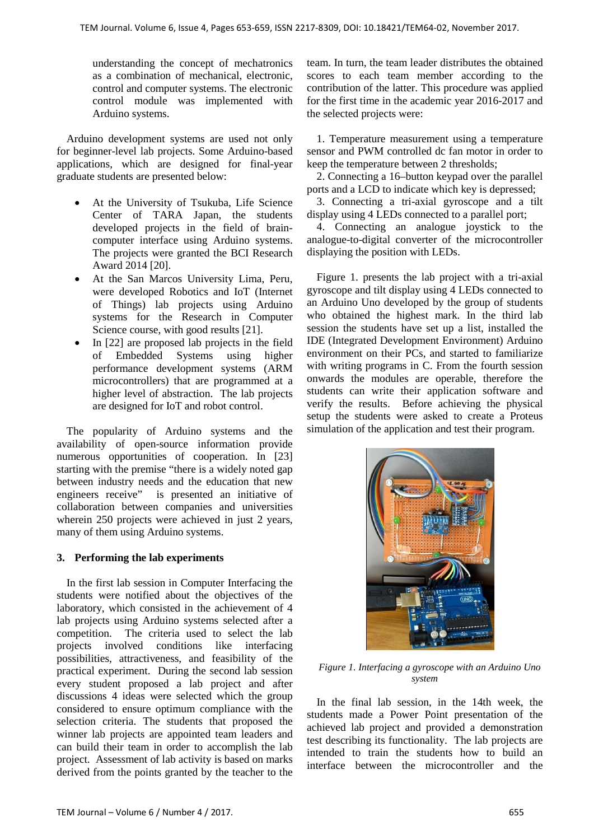understanding the concept of mechatronics as a combination of mechanical, electronic, control and computer systems. The electronic control module was implemented with Arduino systems.

Arduino development systems are used not only for beginner-level lab projects. Some Arduino-based applications, which are designed for final-year graduate students are presented below:

- At the University of Tsukuba, Life Science Center of TARA Japan, the students developed projects in the field of braincomputer interface using Arduino systems. The projects were granted the BCI Research Award 2014 [20].
- At the San Marcos University Lima, Peru, were developed Robotics and IoT (Internet of Things) lab projects using Arduino systems for the Research in Computer Science course, with good results [21].
- In [22] are proposed lab projects in the field of Embedded Systems using higher performance development systems (ARM microcontrollers) that are programmed at a higher level of abstraction. The lab projects are designed for IoT and robot control.

The popularity of Arduino systems and the availability of open-source information provide numerous opportunities of cooperation. In [23] starting with the premise "there is a widely noted gap between industry needs and the education that new engineers receive" is presented an initiative of collaboration between companies and universities wherein 250 projects were achieved in just 2 years, many of them using Arduino systems.

# **3. Performing the lab experiments**

In the first lab session in Computer Interfacing the students were notified about the objectives of the laboratory, which consisted in the achievement of 4 lab projects using Arduino systems selected after a competition. The criteria used to select the lab projects involved conditions like interfacing possibilities, attractiveness, and feasibility of the practical experiment. During the second lab session every student proposed a lab project and after discussions 4 ideas were selected which the group considered to ensure optimum compliance with the selection criteria. The students that proposed the winner lab projects are appointed team leaders and can build their team in order to accomplish the lab project. Assessment of lab activity is based on marks derived from the points granted by the teacher to the team. In turn, the team leader distributes the obtained scores to each team member according to the contribution of the latter. This procedure was applied for the first time in the academic year 2016-2017 and the selected projects were:

1. Temperature measurement using a temperature sensor and PWM controlled dc fan motor in order to keep the temperature between 2 thresholds;

2. Connecting a 16–button keypad over the parallel ports and a LCD to indicate which key is depressed;

3. Connecting a tri-axial gyroscope and a tilt display using 4 LEDs connected to a parallel port;

4. Connecting an analogue joystick to the analogue-to-digital converter of the microcontroller displaying the position with LEDs.

Figure 1. presents the lab project with a tri-axial gyroscope and tilt display using 4 LEDs connected to an Arduino Uno developed by the group of students who obtained the highest mark. In the third lab session the students have set up a list, installed the IDE (Integrated Development Environment) Arduino environment on their PCs, and started to familiarize with writing programs in C. From the fourth session onwards the modules are operable, therefore the students can write their application software and verify the results. Before achieving the physical setup the students were asked to create a Proteus simulation of the application and test their program.



*Figure 1. Interfacing a gyroscope with an Arduino Uno system*

In the final lab session, in the 14th week, the students made a Power Point presentation of the achieved lab project and provided a demonstration test describing its functionality. The lab projects are intended to train the students how to build an interface between the microcontroller and the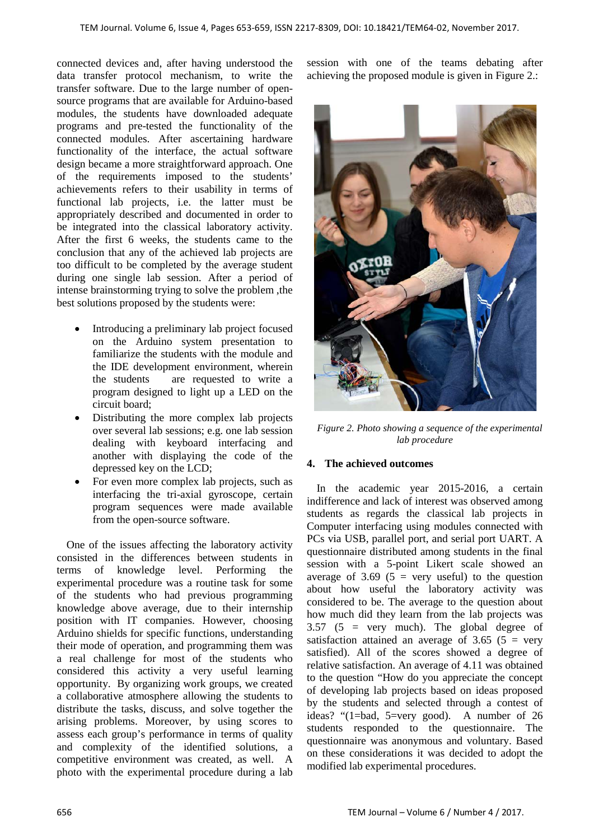connected devices and, after having understood the data transfer protocol mechanism, to write the transfer software. Due to the large number of opensource programs that are available for Arduino-based modules, the students have downloaded adequate programs and pre-tested the functionality of the connected modules. After ascertaining hardware functionality of the interface, the actual software design became a more straightforward approach. One of the requirements imposed to the students' achievements refers to their usability in terms of functional lab projects, i.e. the latter must be appropriately described and documented in order to be integrated into the classical laboratory activity. After the first 6 weeks, the students came to the conclusion that any of the achieved lab projects are too difficult to be completed by the average student during one single lab session. After a period of intense brainstorming trying to solve the problem ,the best solutions proposed by the students were:

- Introducing a preliminary lab project focused on the Arduino system presentation to familiarize the students with the module and the IDE development environment, wherein the students are requested to write a program designed to light up a LED on the circuit board;
- Distributing the more complex lab projects over several lab sessions; e.g. one lab session dealing with keyboard interfacing and another with displaying the code of the depressed key on the LCD;
- For even more complex lab projects, such as interfacing the tri-axial gyroscope, certain program sequences were made available from the open-source software.

One of the issues affecting the laboratory activity consisted in the differences between students in terms of knowledge level. Performing the experimental procedure was a routine task for some of the students who had previous programming knowledge above average, due to their internship position with IT companies. However, choosing Arduino shields for specific functions, understanding their mode of operation, and programming them was a real challenge for most of the students who considered this activity a very useful learning opportunity. By organizing work groups, we created a collaborative atmosphere allowing the students to distribute the tasks, discuss, and solve together the arising problems. Moreover, by using scores to assess each group's performance in terms of quality and complexity of the identified solutions, a competitive environment was created, as well. A photo with the experimental procedure during a lab

session with one of the teams debating after achieving the proposed module is given in Figure 2.:



*Figure 2. Photo showing a sequence of the experimental lab procedure*

#### **4. The achieved outcomes**

In the academic year 2015-2016, a certain indifference and lack of interest was observed among students as regards the classical lab projects in Computer interfacing using modules connected with PCs via USB, parallel port, and serial port UART. A questionnaire distributed among students in the final session with a 5-point Likert scale showed an average of 3.69 ( $5 = \text{very useful}$ ) to the question about how useful the laboratory activity was considered to be. The average to the question about how much did they learn from the lab projects was 3.57 (5 = very much). The global degree of satisfaction attained an average of  $3.65$  ( $5 = \text{very}$ ) satisfied). All of the scores showed a degree of relative satisfaction. An average of 4.11 was obtained to the question "How do you appreciate the concept of developing lab projects based on ideas proposed by the students and selected through a contest of ideas? "(1=bad, 5=very good). A number of 26 students responded to the questionnaire. The questionnaire was anonymous and voluntary. Based on these considerations it was decided to adopt the modified lab experimental procedures.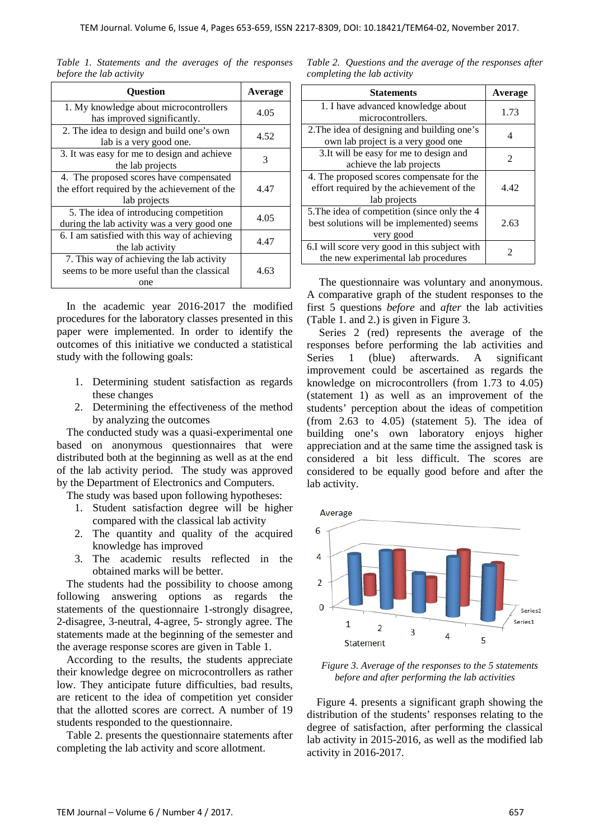| <b>Ouestion</b>                                                                                          | Average |  |
|----------------------------------------------------------------------------------------------------------|---------|--|
| 1. My knowledge about microcontrollers<br>has improved significantly.                                    | 4.05    |  |
| 2. The idea to design and build one's own<br>lab is a very good one.                                     | 4.52    |  |
| 3. It was easy for me to design and achieve<br>the lab projects                                          | 3       |  |
| 4. The proposed scores have compensated<br>the effort required by the achievement of the<br>lab projects | 4.47    |  |
| 5. The idea of introducing competition<br>during the lab activity was a very good one                    | 4.05    |  |
| 6. I am satisfied with this way of achieving<br>the lab activity                                         | 4.47    |  |
| 7. This way of achieving the lab activity<br>seems to be more useful than the classical<br>one           | 4.63    |  |

*Table 1. Statements and the averages of the responses before the lab activity*

In the academic year 2016-2017 the modified procedures for the laboratory classes presented in this paper were implemented. In order to identify the outcomes of this initiative we conducted a statistical study with the following goals:

- 1. Determining student satisfaction as regards these changes
- 2. Determining the effectiveness of the method by analyzing the outcomes

The conducted study was a quasi-experimental one based on anonymous questionnaires that were distributed both at the beginning as well as at the end of the lab activity period. The study was approved by the Department of Electronics and Computers.

The study was based upon following hypotheses:

- 1. Student satisfaction degree will be higher compared with the classical lab activity
- 2. The quantity and quality of the acquired knowledge has improved
- 3. The academic results reflected in the obtained marks will be better.

The students had the possibility to choose among following answering options as regards the statements of the questionnaire 1-strongly disagree, 2-disagree, 3-neutral, 4-agree, 5- strongly agree. The statements made at the beginning of the semester and the average response scores are given in Table 1.

According to the results, the students appreciate their knowledge degree on microcontrollers as rather low. They anticipate future difficulties, bad results, are reticent to the idea of competition yet consider that the allotted scores are correct. A number of 19 students responded to the questionnaire.

Table 2. presents the questionnaire statements after completing the lab activity and score allotment.

| Table 2. Questions and the average of the responses after |  |  |  |
|-----------------------------------------------------------|--|--|--|
| completing the lab activity                               |  |  |  |

| <b>Statements</b>                                                                                      | Average                     |
|--------------------------------------------------------------------------------------------------------|-----------------------------|
| 1. I have advanced knowledge about<br>microcontrollers.                                                | 1.73                        |
| 2. The idea of designing and building one's<br>own lab project is a very good one                      | 4                           |
| 3. It will be easy for me to design and<br>achieve the lab projects                                    | $\mathcal{D}_{\mathcal{L}}$ |
| 4. The proposed scores compensate for the<br>effort required by the achievement of the<br>lab projects | 4.42                        |
| 5. The idea of competition (since only the 4<br>best solutions will be implemented) seems<br>very good | 2.63                        |
| 6.I will score very good in this subject with<br>the new experimental lab procedures                   | 2                           |

The questionnaire was voluntary and anonymous. A comparative graph of the student responses to the first 5 questions *before* and *after* the lab activities (Table 1. and 2.) is given in Figure 3.

Series 2 (red) represents the average of the responses before performing the lab activities and Series 1 (blue) afterwards. A significant improvement could be ascertained as regards the knowledge on microcontrollers (from 1.73 to 4.05) (statement 1) as well as an improvement of the students' perception about the ideas of competition (from 2.63 to 4.05) (statement 5). The idea of building one's own laboratory enjoys higher appreciation and at the same time the assigned task is considered a bit less difficult. The scores are considered to be equally good before and after the lab activity.



*Figure 3. Average of the responses to the 5 statements before and after performing the lab activities*

Figure 4. presents a significant graph showing the distribution of the students' responses relating to the degree of satisfaction, after performing the classical lab activity in 2015-2016, as well as the modified lab activity in 2016-2017.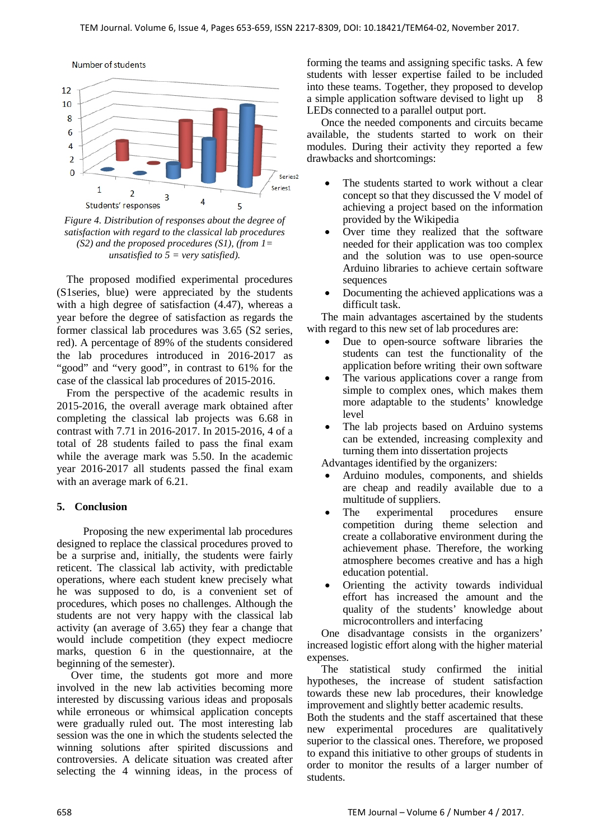

*Figure 4. Distribution of responses about the degree of satisfaction with regard to the classical lab procedures (S2) and the proposed procedures (S1), (from 1= unsatisfied to 5 = very satisfied).*

The proposed modified experimental procedures (S1series, blue) were appreciated by the students with a high degree of satisfaction (4.47), whereas a year before the degree of satisfaction as regards the former classical lab procedures was 3.65 (S2 series, red). A percentage of 89% of the students considered the lab procedures introduced in 2016-2017 as "good" and "very good", in contrast to 61% for the case of the classical lab procedures of 2015-2016.

From the perspective of the academic results in 2015-2016, the overall average mark obtained after completing the classical lab projects was 6.68 in contrast with 7.71 in 2016-2017. In 2015-2016, 4 of a total of 28 students failed to pass the final exam while the average mark was 5.50. In the academic year 2016-2017 all students passed the final exam with an average mark of 6.21.

# **5. Conclusion**

 Proposing the new experimental lab procedures designed to replace the classical procedures proved to be a surprise and, initially, the students were fairly reticent. The classical lab activity, with predictable operations, where each student knew precisely what he was supposed to do, is a convenient set of procedures, which poses no challenges. Although the students are not very happy with the classical lab activity (an average of 3.65) they fear a change that would include competition (they expect mediocre marks, question 6 in the questionnaire, at the beginning of the semester).

Over time, the students got more and more involved in the new lab activities becoming more interested by discussing various ideas and proposals while erroneous or whimsical application concepts were gradually ruled out. The most interesting lab session was the one in which the students selected the winning solutions after spirited discussions and controversies. A delicate situation was created after selecting the 4 winning ideas, in the process of forming the teams and assigning specific tasks. A few students with lesser expertise failed to be included into these teams. Together, they proposed to develop a simple application software devised to light up 8 LEDs connected to a parallel output port.

Once the needed components and circuits became available, the students started to work on their modules. During their activity they reported a few drawbacks and shortcomings:

- The students started to work without a clear concept so that they discussed the V model of achieving a project based on the information provided by the Wikipedia
- Over time they realized that the software needed for their application was too complex and the solution was to use open-source Arduino libraries to achieve certain software sequences
- Documenting the achieved applications was a difficult task.

The main advantages ascertained by the students with regard to this new set of lab procedures are:

- Due to open-source software libraries the students can test the functionality of the application before writing their own software
- The various applications cover a range from simple to complex ones, which makes them more adaptable to the students' knowledge level
- The lab projects based on Arduino systems can be extended, increasing complexity and turning them into dissertation projects

Advantages identified by the organizers:

- Arduino modules, components, and shields are cheap and readily available due to a multitude of suppliers.
- The experimental procedures ensure competition during theme selection and create a collaborative environment during the achievement phase. Therefore, the working atmosphere becomes creative and has a high education potential.
- Orienting the activity towards individual effort has increased the amount and the quality of the students' knowledge about microcontrollers and interfacing

One disadvantage consists in the organizers' increased logistic effort along with the higher material expenses.

The statistical study confirmed the initial hypotheses, the increase of student satisfaction towards these new lab procedures, their knowledge improvement and slightly better academic results.

Both the students and the staff ascertained that these new experimental procedures are qualitatively superior to the classical ones. Therefore, we proposed to expand this initiative to other groups of students in order to monitor the results of a larger number of students.